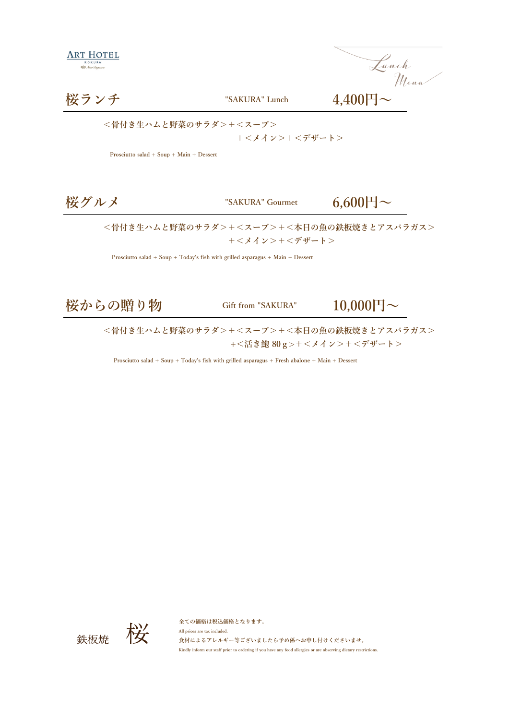Lunch<br>Menu

## **桜ランチ "SAKURA" Lunch 4,400円~**

**<骨付き生ハムと野菜のサラダ>+<スープ>**

 **+<メイン>+<デザート>**

 **Prosciutto salad + Soup + Main + Dessert** 

 $\text{YSAKURA}^{\text{T}}$  Gourmet **6,600** $\text{H} \sim$ 

**<骨付き生ハムと野菜のサラダ>+<スープ>+<本日の魚の鉄板焼きとアスパラガス> +<メイン>+<デザート>**

 **Prosciutto salad + Soup + Today's fish with grilled asparagus + Main + Dessert** 

**桜からの贈り物 Gift from "SAKURA" 10,000円~**

**<骨付き生ハムと野菜のサラダ>+<スープ>+<本日の魚の鉄板焼きとアスパラガス> +<活き鮑 80g>+<メイン>+<デザート>**

 **Prosciutto salad + Soup + Today's fish with grilled asparagus + Fresh abalone + Main + Dessert** 



**全ての価格は税込価格となります。 All prices are tax included. 食材によるアレルギー等ございましたら予め係へお申し付けくださいませ。 Kindly inform our staff prior to ordering if you have any food allergies or are observing dietary restrictions.**